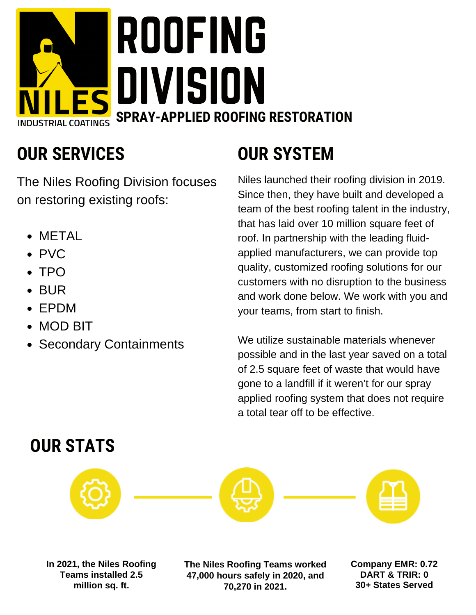# ROOFING TLES DIVISION **SPRAY-APPLIED ROOFING RESTORATION**

## **OUR SERVICES**

The Niles Roofing Division focuses on restoring existing roofs:

- METAL
- PVC
- TPO
- BUR
- EPDM
- MOD BIT
- Secondary Containments

# **OUR SYSTEM**

Niles launched their roofing division in 2019. Since then, they have built and developed a team of the best roofing talent in the industry, that has laid over 10 million square feet of roof. In partnership with the leading fluidapplied manufacturers, we can provide top quality, customized roofing solutions for our customers with no disruption to the business and work done below. We work with you and your teams, from start to finish.

We utilize sustainable materials whenever possible and in the last year saved on a total of 2.5 square feet of waste that would have gone to a landfill if it weren't for our spray applied roofing system that does not require a total tear off to be effective.

#### **OUR STATS**



**In 2021, the Niles Roofing Teams installed 2.5 million sq. ft.**

**The Niles Roofing Teams worked 47,000 hours safely in 2020, and 70,270 in 2021.**

**Company EMR: 0.72 DART & TRIR: 0 30+ States Served**